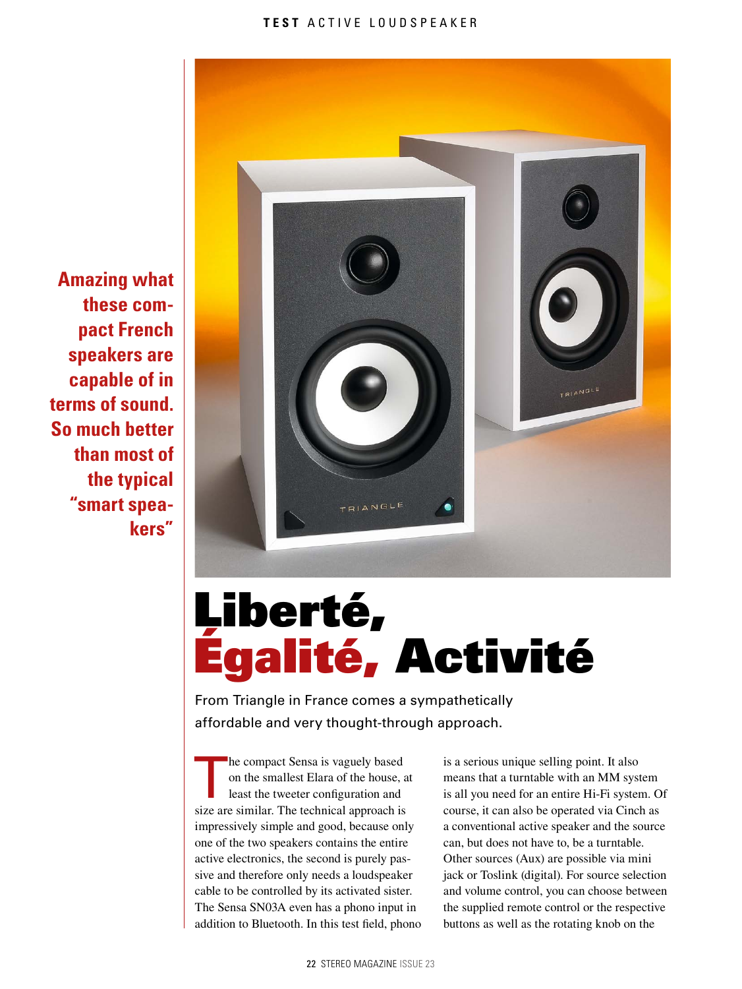

# Liberté, Égalité, Activité

From Triangle in France comes a sympathetically affordable and very thought-through approach.

The compact Sensa is vaguely based<br>on the smallest Elara of the house, a<br>least the tweeter configuration and<br>size are similar. The technical annual in on the smallest Elara of the house, at least the tweeter configuration and size are similar. The technical approach is impressively simple and good, because only one of the two speakers contains the entire active electronics, the second is purely passive and therefore only needs a loudspeaker cable to be controlled by its activated sister. The Sensa SN03A even has a phono input in addition to Bluetooth. In this test field, phono

is a serious unique selling point. It also means that a turntable with an MM system is all you need for an entire Hi-Fi system. Of course, it can also be operated via Cinch as a conventional active speaker and the source can, but does not have to, be a turntable. Other sources (Aux) are possible via mini jack or Toslink (digital). For source selection and volume control, you can choose between the supplied remote control or the respective buttons as well as the rotating knob on the

**Amazing what these compact French speakers are capable of in terms of sound. So much better than most of the typical "smart speakers"**